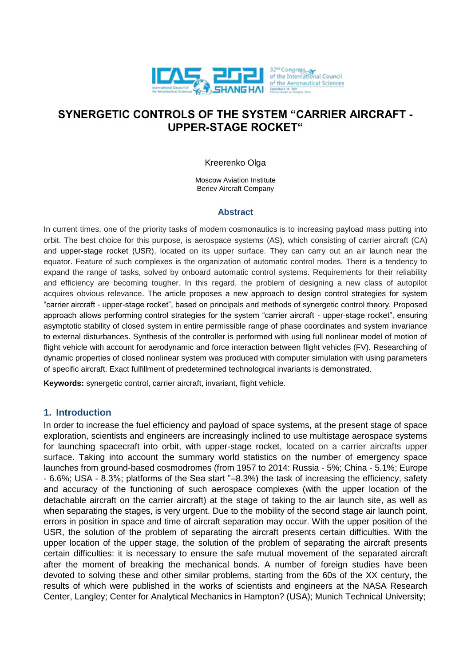

# **SYNERGETIC CONTROLS OF THE SYSTEM "CARRIER AIRCRAFT - UPPER-STAGE ROCKET"**

### Kreerenko Olga

Moscow Aviation Institute Beriev Aircraft Company

#### **Abstract**

In current times, one of the priority tasks of modern cosmonautics is to increasing payload mass putting into orbit. The best choice for this purpose, is aerospace systems (AS), which consisting of carrier aircraft (CA) and upper-stage rocket (USR), located on its upper surface. They can carry out an air launch near the equator. Feature of such complexes is the organization of automatic control modes. There is a tendency to expand the range of tasks, solved by onboard automatic control systems. Requirements for their reliability and efficiency are becoming tougher. In this regard, the problem of designing a new class of autopilot acquires obvious relevance. The article proposes a new approach to design control strategies for system "carrier aircraft - upper-stage rocket", based on principals and methods of synergetic control theory. Proposed approach allows performing control strategies for the system "carrier aircraft - upper-stage rocket", ensuring asymptotic stability of closed system in entire permissible range of phase coordinates and system invariance to external disturbances. Synthesis of the controller is performed with using full nonlinear model of motion of flight vehicle with account for aerodynamic and force interaction between flight vehicles (FV). Researching of dynamic properties of closed nonlinear system was produced with computer simulation with using parameters of specific aircraft. Exact fulfillment of predetermined technological invariants is demonstrated.

**Keywords:** synergetic control, carrier aircraft, invariant, flight vehicle.

### **1. Introduction**

In order to increase the fuel efficiency and payload of space systems, at the present stage of space exploration, scientists and engineers are increasingly inclined to use multistage aerospace systems for launching spacecraft into orbit, with upper-stage rocket, located on a carrier aircrafts upper surface. Taking into account the summary world statistics on the number of emergency space launches from ground-based cosmodromes (from 1957 to 2014: Russia - 5%; China - 5.1%; Europe - 6.6%; USA - 8.3%; platforms of the Sea start "–8.3%) the task of increasing the efficiency, safety and accuracy of the functioning of such aerospace complexes (with the upper location of the detachable aircraft on the carrier aircraft) at the stage of taking to the air launch site, as well as when separating the stages, is very urgent. Due to the mobility of the second stage air launch point, errors in position in space and time of aircraft separation may occur. With the upper position of the USR, the solution of the problem of separating the aircraft presents certain difficulties. With the upper location of the upper stage, the solution of the problem of separating the aircraft presents certain difficulties: it is necessary to ensure the safe mutual movement of the separated aircraft after the moment of breaking the mechanical bonds. A number of foreign studies have been devoted to solving these and other similar problems, starting from the 60s of the XX century, the results of which were published in the works of scientists and engineers at the NASA Research Center, Langley; Center for Analytical Mechanics in Hampton? (USA); Munich Technical University;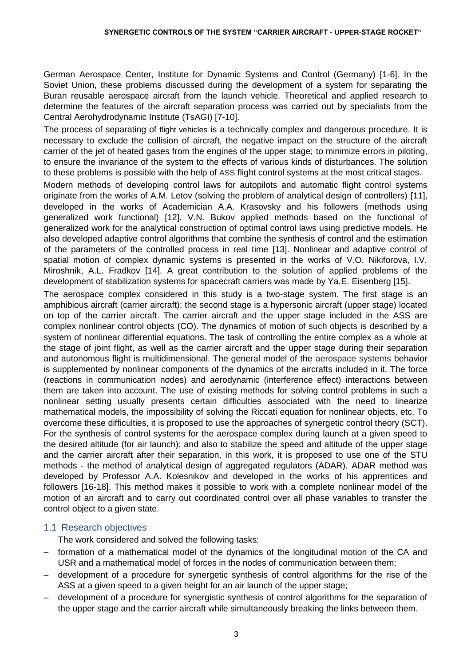German Aerospace Center, Institute for Dynamic Systems and Control (Germany) [1-6]. In the Soviet Union, these problems discussed during the development of a system for separating the Buran reusable aerospace aircraft from the launch vehicle. Theoretical and applied research to determine the features of the aircraft separation process was carried out by specialists from the Central Aerohydrodynamic Institute (TsAGI) [7-10].

The process of separating of flight vehicles is a technically complex and dangerous procedure. It is necessary to exclude the collision of aircraft, the negative impact on the structure of the aircraft carrier of the jet of heated gases from the engines of the upper stage; to minimize errors in piloting, to ensure the invariance of the system to the effects of various kinds of disturbances. The solution to these problems is possible with the help of ASS flight control systems at the most critical stages.

Modern methods of developing control laws for autopilots and automatic flight control systems originate from the works of A.M. Letov (solving the problem of analytical design of controllers) [11], developed in the works of Academician A.A. Krasovsky and his followers (methods using generalized work functional) [12]. V.N. Bukov applied methods based on the functional of generalized work for the analytical construction of optimal control laws using predictive models. He also developed adaptive control algorithms that combine the synthesis of control and the estimation of the parameters of the controlled process in real time [13]. Nonlinear and adaptive control of spatial motion of complex dynamic systems is presented in the works of V.O. Nikiforova, I.V. Miroshnik, A.L. Fradkov [14]. A great contribution to the solution of applied problems of the development of stabilization systems for spacecraft carriers was made by Ya.E. Eisenberg [15].

The aerospace complex considered in this study is a two-stage system. The first stage is an amphibious aircraft (carrier aircraft); the second stage is a hypersonic aircraft (upper stage) located on top of the carrier aircraft. The carrier aircraft and the upper stage included in the ASS are complex nonlinear control objects (CO). The dynamics of motion of such objects is described by a system of nonlinear differential equations. The task of controlling the entire complex as a whole at the stage of joint flight, as well as the carrier aircraft and the upper stage during their separation and autonomous flight is multidimensional. The general model of the aerospace systems behavior is supplemented by nonlinear components of the dynamics of the aircrafts included in it. The force (reactions in communication nodes) and aerodynamic (interference effect) interactions between them are taken into account. The use of existing methods for solving control problems in such a nonlinear setting usually presents certain difficulties associated with the need to linearize mathematical models, the impossibility of solving the Riccati equation for nonlinear objects, etc. To overcome these difficulties, it is proposed to use the approaches of synergetic control theory (SCT). For the synthesis of control systems for the aerospace complex during launch at a given speed to the desired altitude (for air launch); and also to stabilize the speed and altitude of the upper stage and the carrier aircraft after their separation, in this work, it is proposed to use one of the STU methods - the method of analytical design of aggregated regulators (ADAR). ADAR method was developed by Professor A.A. Kolesnikov and developed in the works of his apprentices and followers [16-18]. This method makes it possible to work with a complete nonlinear model of the motion of an aircraft and to carry out coordinated control over all phase variables to transfer the control object to a given state.

### 1.1 Research objectives

The work considered and solved the following tasks:

- formation of a mathematical model of the dynamics of the longitudinal motion of the CA and USR and a mathematical model of forces in the nodes of communication between them;
- development of a procedure for synergetic synthesis of control algorithms for the rise of the ASS at a given speed to a given height for an air launch of the upper stage;
- development of a procedure for synergistic synthesis of control algorithms for the separation of the upper stage and the carrier aircraft while simultaneously breaking the links between them.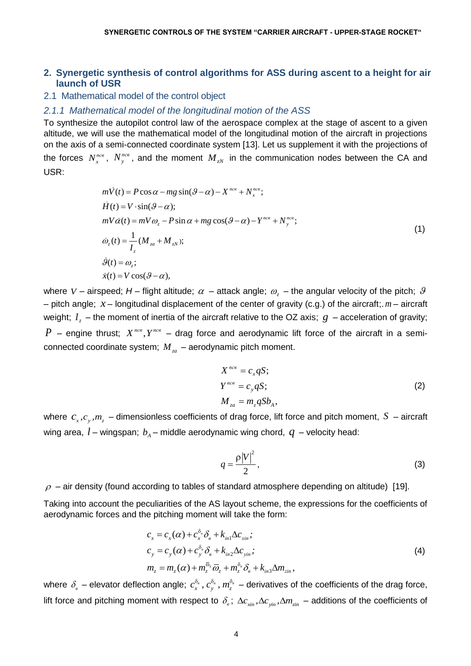### **2. Synergetic synthesis of control algorithms for ASS during ascent to a height for air launch of USR**

### 2.1 Mathematical model of the control object

### *2.1.1 Mathematical model of the longitudinal motion of the ASS*

To synthesize the autopilot control law of the aerospace complex at the stage of ascent to a given altitude, we will use the mathematical model of the longitudinal motion of the aircraft in projections on the axis of a semi-connected coordinate system [13]. Let us supplement it with the projections of the forces  $N_x^{nce}$ ,  $N_y^{nce}$ , and the moment  $M_{zN}$  in the communication nodes between the CA and USR:

$$
m\dot{V}(t) = P\cos\alpha - mg\sin(\theta - \alpha) - X^{nce} + N_x^{nce};
$$
  
\n
$$
\dot{H}(t) = V \cdot \sin(\theta - \alpha);
$$
  
\n
$$
mV\dot{\alpha}(t) = mV\omega_z - P\sin\alpha + mg\cos(\theta - \alpha) - Y^{nce} + N_y^{nce};
$$
  
\n
$$
\dot{\omega}_z(t) = \frac{1}{I_z}(M_{za} + M_{zN});
$$
  
\n
$$
\dot{\theta}(t) = \omega_z;
$$
  
\n
$$
\dot{x}(t) = V\cos(\theta - \alpha),
$$
  
\n(1)

where  $\,$  – airspeed;  $H$  – flight altitude;  $\,\alpha\,$  – attack angle;  $\,\omega_{_z}$  – the angular velocity of the pitch;  $\,\vartheta$ – pitch angle; *x* – longitudinal displacement of the center of gravity (c.g.) of the aircraft;. *m* – aircraft weight;  $I_z$  – the moment of inertia of the aircraft relative to the OZ axis;  $\,g\,$  – acceleration of gravity;  $P$  – engine thrust;  $X^{ncs}$ ,  $Y^{ncs}$  – drag force and aerodynamic lift force of the aircraft in a semiconnected coordinate system; *M za* – aerodynamic pitch moment.

$$
X^{nce} = c_x qS;
$$
  
\n
$$
Y^{nce} = c_y qS;
$$
  
\n
$$
M_{za} = m_z qSb_A,
$$
\n(2)

where  $c_{x},c_{y},m_{z}$  – dimensionless coefficients of drag force, lift force and pitch moment,  $S$  – aircraft wing area,  $\mathit{l}$  – wingspan;  $\mathit{b}_{\scriptscriptstyle{A}}$  – middle aerodynamic wing chord,  $\mathit{q}\,$  – velocity head:

$$
q = \frac{\rho |V|^2}{2},\tag{3}
$$

 $\rho$  – air density (found according to tables of standard atmosphere depending on altitude) [19].

Taking into account the peculiarities of the AS layout scheme, the expressions for the coefficients of aerodynamic forces and the pitching moment will take the form:

$$
c_x = c_x(\alpha) + c_s^{\delta_e} \delta_e + k_{in1} \Delta c_{xin};
$$
  
\n
$$
c_y = c_y(\alpha) + c_y^{\delta_e} \delta_e + k_{in2} \Delta c_{yin};
$$
  
\n
$$
m_z = m_z(\alpha) + m_z^{\bar{\omega}_z} \bar{\omega}_z + m_z^{\delta_e} \delta_e + k_{in3} \Delta m_{zin},
$$
\n(4)

where  $\delta_s$  – elevator deflection angle;  $c_x^{\delta_a}$ ,  $c_y^{\delta_e}$ ,  $m_z^{\delta_s}$  – derivatives of the coefficients of the drag force, lift force and pitching moment with respect to  $\delta_e$ ;  $\Delta c_{sin}$ ,  $\Delta c_{sin}$ ,  $\Delta m_{sin}$  – additions of the coefficients of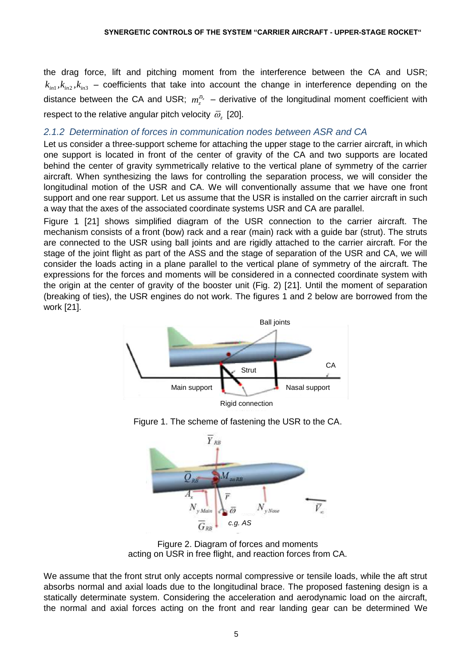the drag force, lift and pitching moment from the interference between the CA and USR;  $k_{m1}$ ,  $k_{m2}$ ,  $k_{m3}$  – coefficients that take into account the change in interference depending on the distance between the CA and USR;  $m_z^{\bar{\omega}_z}$  – derivative of the longitudinal moment coefficient with respect to the relative angular pitch velocity  $\bar{\omega}_z^{}$  [20].

## *2.1.2 Determination of forces in communication nodes between ASR and CA*

Let us consider a three-support scheme for attaching the upper stage to the carrier aircraft, in which one support is located in front of the center of gravity of the CA and two supports are located behind the center of gravity symmetrically relative to the vertical plane of symmetry of the carrier aircraft. When synthesizing the laws for controlling the separation process, we will consider the longitudinal motion of the USR and CA. We will conventionally assume that we have one front support and one rear support. Let us assume that the USR is installed on the carrier aircraft in such a way that the axes of the associated coordinate systems USR and CA are parallel.

Figure 1 [21] shows simplified diagram of the USR connection to the carrier aircraft. The mechanism consists of a front (bow) rack and a rear (main) rack with a guide bar (strut). The struts are connected to the USR using ball joints and are rigidly attached to the carrier aircraft. For the stage of the joint flight as part of the ASS and the stage of separation of the USR and CA, we will consider the loads acting in a plane parallel to the vertical plane of symmetry of the aircraft. The expressions for the forces and moments will be considered in a connected coordinate system with the origin at the center of gravity of the booster unit (Fig. 2) [21]. Until the moment of separation (breaking of ties), the USR engines do not work. The figures 1 and 2 below are borrowed from the work [21].







Figure 2. Diagram of forces and moments acting on USR in free flight, and reaction forces from CA.

We assume that the front strut only accepts normal compressive or tensile loads, while the aft strut absorbs normal and axial loads due to the longitudinal brace. The proposed fastening design is a statically determinate system. Considering the acceleration and aerodynamic load on the aircraft, the normal and axial forces acting on the front and rear landing gear can be determined We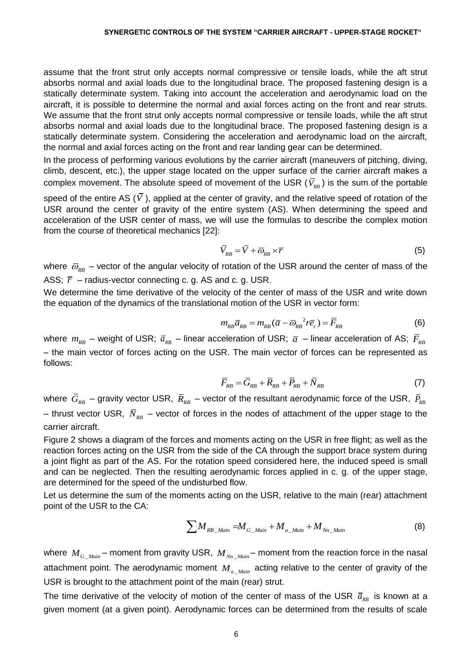assume that the front strut only accepts normal compressive or tensile loads, while the aft strut absorbs normal and axial loads due to the longitudinal brace. The proposed fastening design is a statically determinate system. Taking into account the acceleration and aerodynamic load on the aircraft, it is possible to determine the normal and axial forces acting on the front and rear struts. We assume that the front strut only accepts normal compressive or tensile loads, while the aft strut absorbs normal and axial loads due to the longitudinal brace. The proposed fastening design is a statically determinate system. Considering the acceleration and aerodynamic load on the aircraft, the normal and axial forces acting on the front and rear landing gear can be determined.

In the process of performing various evolutions by the carrier aircraft (maneuvers of pitching, diving, climb, descent, etc.), the upper stage located on the upper surface of the carrier aircraft makes a complex movement. The absolute speed of movement of the USR  $(V_{_{RB}})$  is the sum of the portable

speed of the entire AS  $(V$  ), applied at the center of gravity, and the relative speed of rotation of the USR around the center of gravity of the entire system (AS). When determining the speed and acceleration of the USR center of mass, we will use the formulas to describe the complex motion from the course of theoretical mechanics [22]:

$$
\overline{V}_{RB} = \overline{V} + \overline{\omega}_{RB} \times \overline{r}
$$
 (5)

where  $\,\bar{\omega}_{_{RB}}\,$  – vector of the angular velocity of rotation of the USR around the center of mass of the ASS;  $\bar{r}$  – radius-vector connecting c. g. AS and c. g. USR.

We determine the time derivative of the velocity of the center of mass of the USR and write down the equation of the dynamics of the translational motion of the USR in vector form:

$$
m_{RB}\overline{a}_{RB} = m_{RB}(\overline{a} - \overline{\omega}_{RB}^2 r\overline{e}_r) = \overline{F}_{RB}
$$
(6)

where  $m_{_{RB}}$  – weight of USR;  $\bar{a}_{_{RB}}$  – linear acceleration of USR;  $\bar{a}$  – linear acceleration of AS;  $\bar{F}_{_{RB}}$ – the main vector of forces acting on the USR. The main vector of forces can be represented as follows:

$$
\overline{F}_{RB} = \overline{G}_{RB} + \overline{R}_{RB} + \overline{P}_{RB} + \overline{N}_{RB}
$$
\n(7)

where  $\,\overline{G}_{\scriptscriptstyle RB}$  – gravity vector USR,  $\,\overline{R}_{\scriptscriptstyle RB}$  – vector of the resultant aerodynamic force of the USR,  $\,\overline{P}_{\scriptscriptstyle RB}$ – thrust vector USR,  $\bar{N}_{\scriptscriptstyle{RB}}$  – vector of forces in the nodes of attachment of the upper stage to the carrier aircraft.

Figure 2 shows a diagram of the forces and moments acting on the USR in free flight; as well as the reaction forces acting on the USR from the side of the CA through the support brace system during a joint flight as part of the AS. For the rotation speed considered here, the induced speed is small and can be neglected. Then the resulting aerodynamic forces applied in c. g. of the upper stage, are determined for the speed of the undisturbed flow.

Let us determine the sum of the moments acting on the USR, relative to the main (rear) attachment point of the USR to the CA:

$$
\sum M_{RB\_Main} = M_{G\_Main} + M_{a\_Main} + M_{Nn\_Main}
$$
 (8)

where  $M_{G\_Main}$  – moment from gravity USR,  $M_{Nn\_Main}$  – moment from the reaction force in the nasal attachment point. The aerodynamic moment  $M_{a_M}$  acting relative to the center of gravity of the USR is brought to the attachment point of the main (rear) strut.

The time derivative of the velocity of motion of the center of mass of the USR  $\bar{a}_{\scriptscriptstyle{RB}}$  is known at a given moment (at a given point). Aerodynamic forces can be determined from the results of scale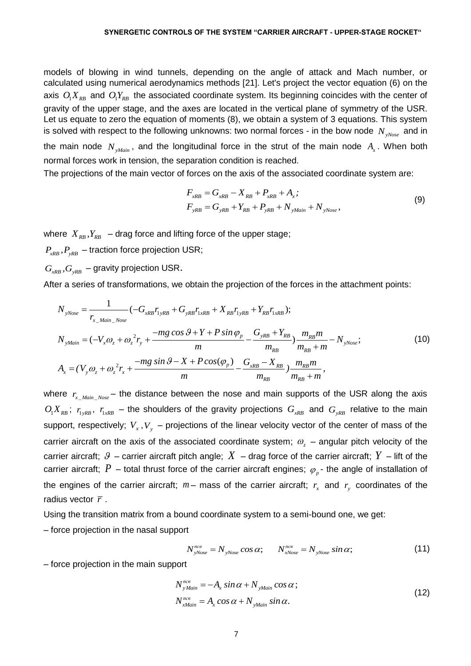models of blowing in wind tunnels, depending on the angle of attack and Mach number, or calculated using numerical aerodynamics methods [21]. Let's project the vector equation (6) on the axis  $O_1X_{RB}$  and  $O_1Y_{RB}$  the associated coordinate system. Its beginning coincides with the center of gravity of the upper stage, and the axes are located in the vertical plane of symmetry of the USR. Let us equate to zero the equation of moments (8), we obtain a system of 3 equations. This system is solved with respect to the following unknowns: two normal forces - in the bow node  $\,N_{_{\mathcal{N}^{Nose}}} \,$  and in the main node  $N_{_{yMain}}$ , and the longitudinal force in the strut of the main node  $A_{_x}$ . When both normal forces work in tension, the separation condition is reached.

The projections of the main vector of forces on the axis of the associated coordinate system are: $F_{_{xRB}}=G_{_{xRB}}-X_{_{RB}}+P_{_{xRB}}+A_{_{x}};$ 

$$
F_{xRB} = G_{xRB} - X_{RB} + P_{xRB} + A_x;
$$
  
\n
$$
F_{yRB} = G_{yRB} + Y_{RB} + P_{yRB} + N_{yMain} + N_{yNoise},
$$
\n(9)

where  $\left| X_{_{RB}}, Y_{_{RB}} \right|$  – drag force and lifting force of the upper stage;

 $P_{_{\mathrm{xRB}}}, P_{_{\mathrm{yRB}}}$  – traction force projection USR;

 $G_{xRB}$ , $G_{yRB}$  – gravity projection USR.

After a series of transformations, we obtain the projection of the forces in the attachment points:

$$
N_{\text{yNose}} = \frac{1}{r_{x\_Main\_Noise}} (-G_{xRB}r_{1yRB} + G_{yRB}r_{1xRB} + X_{RB}r_{1yRB} + Y_{RB}r_{1xRB});
$$
  
\n
$$
N_{\text{yNose}} = \frac{1}{r_{x\_Main\_Noise}} (-G_{xRB}r_{1yRB} + G_{yRB}r_{1xRB} + X_{RB}r_{1yRB} + Y_{RB}r_{1xRB});
$$
  
\n
$$
N_{\text{yMain}} = (-V_{x}\omega_{z} + \omega_{z}^{2}r_{y} + \frac{-mg\cos\theta + Y + P\sin\phi_{p}}{m} - \frac{G_{yRB} + Y_{RB}}{m_{RB}}) \frac{m_{RB}m}{m_{RB} + m} - N_{\text{yNose}};
$$
  
\n
$$
A_{x} = (V_{y}\omega_{z} + \omega_{z}^{2}r_{x} + \frac{-mg\sin\theta - X + P\cos(\phi_{p})}{m} - \frac{G_{xRB} - X_{RB}}{m_{RB}}) \frac{m_{RB}m}{m_{RB} + m},
$$
  
\n(10)

where  $r_{x\_Main\_Noise}$  – the distance between the nose and main supports of the USR along the axis  $O_1X_{RB}$ ;  $r_{1xRB}$ ,  $r_{1xRB}$  – the shoulders of the gravity projections  $G_{xRB}$  and  $G_{yRB}$  relative to the main support, respectively;  $V_x$ ,  $V_y$  – projections of the linear velocity vector of the center of mass of the carrier aircraft on the axis of the associated coordinate system;  $\omega_z$  – angular pitch velocity of the carrier aircraft;  $\beta$  – carrier aircraft pitch angle;  $X$  – drag force of the carrier aircraft;  $Y$  – lift of the carrier aircraft;  $P$  – total thrust force of the carrier aircraft engines;  $\varphi_{_P}$ - the angle of installation of the engines of the carrier aircraft;  $m-$  mass of the carrier aircraft;  $r_x$  and  $r_y$  coordinates of the radius vector *r* .

Using the transition matrix from a bound coordinate system to a semi-bound one, we get:

– force projection in the nasal support

t  
\n
$$
N_{\text{yNose}}^{\text{nce}} = N_{\text{yNose}} \cos \alpha; \qquad N_{\text{xNose}}^{\text{nce}} = N_{\text{yNose}} \sin \alpha; \tag{11}
$$

– force projection in the main support

$$
N_{y\,Main}^{nce} = -A_x \sin \alpha + N_{y\,Main} \cos \alpha ;
$$
  
\n
$$
N_{x\,Main}^{nce} = A_x \cos \alpha + N_{y\,Main} \sin \alpha.
$$
\n(12)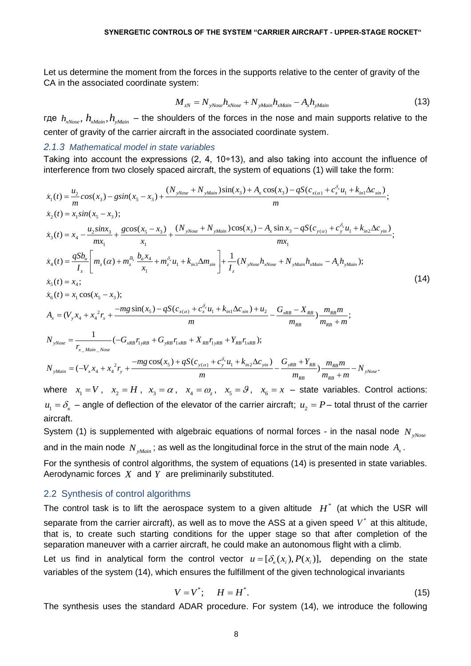Let us determine the moment from the forces in the supports relative to the center of gravity of the CA in the associated coordinate system:

$$
M_{zN} = N_{yNose} h_{xNose} + N_{yMain} h_{xMain} - A_x h_{yMain}
$$
 (13)

где  $h_{xNose}$ ,  $h_{xMain}$ ,  $h_{yMain}$  – the shoulders of the forces in the nose and main supports relative to the center of gravity of the carrier aircraft in the associated coordinate system.

#### *2.1.3 Mathematical model in state variables*

Taking into account the expressions (2, 4, 10÷13), and also taking into account the influence of Taking into account the expressions (2, 4, 10÷13), and also taking into account the infl<br>interference from two closely spaced aircraft, the system of equations (1) will take the form:<br> $\dot{x}_1(t) = \frac{u_2}{m} \cos(x_3) - g\sin(x_5 - x_3) +$ into account the expressions (2, 4, 10÷13), and also taking into account the ence from two closely spaced aircraft, the system of equations (1) will take the fo<br>  $\frac{u_2}{m}cos(x_3) - g sin(x_5 - x_3) + \frac{(N_{yNose} + N_{yMain})sin(x_3) + A_x cos(x_3) - qS(c$ (2, 4, 10÷13), and also taking into account the influence<br>ircraft, the system of equations (1) will take the form:<br> $+ N_{yMain} \sin(x_3) + A_x \cos(x_3) - qS(c_{x(\alpha)} + c_x^{\delta_x} u_1 + k_{in1} \Delta c_{xin})$ ;

Taking into account the expressions (2, 4, 10+13), and also taking into account the influence of  
\ntherefore from two closely spaced aircraft, the system of equations (1) will take the form:  
\n
$$
\dot{x}_1(t) = \frac{u_2}{m} cos(x_3) - g sin(x_5 - x_3) + \frac{(N_{yNose} + N_{yMain})sin(x_3) + A_x cos(x_3) - qS(c_{x(a)} + c_x^{\delta_x}u_1 + k_{in1}\Delta c_{sin})}{m};
$$
\n
$$
\dot{x}_2(t) = x_1 sin(x_5 - x_3);
$$
\n
$$
\dot{x}_3(t) = x_4 - \frac{u_2 sinx_3}{mx_1} + \frac{g cos(x_5 - x_3)}{x_1} + \frac{(N_{yNose} + N_{yMain})cos(x_3) - A_x sin x_3 - qS(c_{y(a)} + c_y^{\delta_y}u_1 + k_{in2}\Delta c_{sin})}{mx_1};
$$
\n
$$
\dot{x}_3(t) = \frac{qSb_a}{I_z} \bigg[ m_z(\alpha) + m_z^{\frac{b}{c}} \frac{b_a x_4}{x_1} + m_z^{\delta_x}u_1 + k_{in3}\Delta m_{sin} \bigg] + \frac{1}{I_z}(N_{yNose}h_{xNose} + N_{yMain}h_{xMain}h_{xMain} - A_xh_{yMain});
$$
\n
$$
\dot{x}_5(t) = x_4;
$$
\n
$$
\dot{x}_6(t) = x_1 cos(x_5 - x_3);
$$
\n
$$
A_x = (V_y x_4 + x_4^2 r_x + \frac{-mg sin(x_5) - qS(c_{x(a)} + c_x^{\delta_x}u_1 + k_{in1}\Delta c_{sin}) + u_2}{m} - \frac{G_{xRB} - X_{RB}}{m_{RB}}) \frac{m_{RB}m}{m_{RB} + m};
$$
\n
$$
N_{yNose} = \frac{1}{r_{x\_Main\_Nose}}(-G_{xRB}r_{1yRB} + G_{yRB}r_{1xRB} + X_{RB}r_{1yRB} + Y_{RB}r_{1xRB});
$$
\n
$$
N_{yMain} = (-V_x x_4 + x_4^2 r_y + \frac{-mg cos(x_5) + qS(c_{y(a)} + c_y^{\delta_y}u_1 + k_{in2}\Delta c_{yin})}{m} - \frac{G_{yRB} + Y_{RB}}{m_{RB}}) \frac{m
$$

where  $x_1 = V$ ,  $x_2 = H$ ,  $x_3 = \alpha$ ,  $x_4 = \omega_z$ ,  $x_5 = \vartheta$ ,  $x_6 = x$  – state variables. Control actions:  $u_1 = \delta_e$  – angle of deflection of the elevator of the carrier aircraft;  $u_2 = P$  – total thrust of the carrier aircraft.

System (1) is supplemented with algebraic equations of normal forces - in the nasal node  $N_{\tiny yNose}$ and in the main node  $\,N_{_{\mathcal{S}Main}}$ ; as well as the longitudinal force in the strut of the main node  $\,A_{_{\mathcal{X}}}$ .

For the synthesis of control algorithms, the system of equations (14) is presented in state variables. Aerodynamic forces *X* and *Y* are preliminarily substituted.

#### 2.2 Synthesis of control algorithms

The control task is to lift the aerospace system to a given altitude  $H^*$  (at which the USR will separate from the carrier aircraft), as well as to move the ASS at a given speed  $V^*$  at this altitude, that is, to create such starting conditions for the upper stage so that after completion of the separation maneuver with a carrier aircraft, he could make an autonomous flight with a climb. Let us find in analytical form the control vector  $u = [\delta_{s}(x_{i}), P(x_{i})]$ , depending on the state

variables of the system (14), which ensures the fulfillment of the given technological invariants

$$
V = V^*; \qquad H = H^*.
$$
\n<sup>(15)</sup>

The synthesis uses the standard ADAR procedure. For system (14), we introduce the following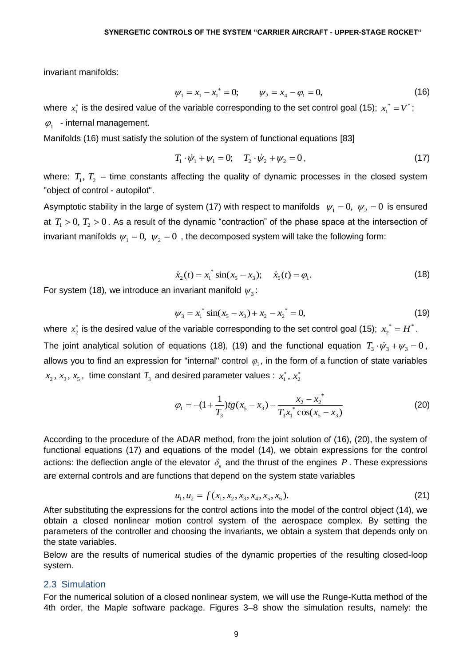invariant manifolds:

$$
\psi_1 = x_1 - x_1^* = 0; \qquad \psi_2 = x_4 - \varphi_1 = 0, \tag{16}
$$

where  $x_{\rm i}^*$  is the desired value of the variable corresponding to the set control goal (15);  $\ x_{\rm i}^* = V^*$  $x_1^* = V^*$ ;  $\varphi_1$  - internal management.

Manifolds (16) must satisfy the solution of the system of functional equations [83]

$$
T_1 \cdot \dot{\psi}_1 + \psi_1 = 0; \quad T_2 \cdot \dot{\psi}_2 + \psi_2 = 0,
$$
\n(17)

where:  $T_1, T_2$  – time constants affecting the quality of dynamic processes in the closed system "object of control - autopilot".

Asymptotic stability in the large of system (17) with respect to manifolds  $\psi_1=0,~\psi_2=0$  is ensured at  $T_1 > 0$ ,  $T_2 > 0$ . As a result of the dynamic "contraction" of the phase space at the intersection of invariant manifolds  $\psi_{_1}\!=\!0,\;\psi_{_2}\!=\!0\,$  , the decomposed system will take the following form:

$$
\dot{x}_2(t) = x_1^* \sin(x_5 - x_3); \quad \dot{x}_5(t) = \varphi_1.
$$
 (18)

For system (18), we introduce an invariant manifold  $\psi_{_3}\colon$ 

$$
\psi_3 = x_1^* \sin(x_5 - x_3) + x_2 - x_2^* = 0,
$$
\n(19)

where  $x_2^*$  is the desired value of the variable corresponding to the set control goal (15);  $\ x_2^{\; *} = H^*$  $x_2^* = H^*$ . The joint analytical solution of equations (18), (19) and the functional equation  $T_3 \cdot \dot{\psi}_3 + \psi_3 = 0$ , allows you to find an expression for "internal" control  $\,\varphi_{_1}.$  in the form of a function of state variables  $x_2, x_3, x_5$ , time constant  $T_3$  and desired parameter values :  $x_1^*, x_2^*$ 

$$
\varphi_1 = -(1 + \frac{1}{T_3})tg(x_5 - x_3) - \frac{x_2 - x_2^*}{T_3x_1^* \cos(x_5 - x_3)}
$$
(20)

According to the procedure of the ADAR method, from the joint solution of (16), (20), the system of functional equations (17) and equations of the model (14), we obtain expressions for the control actions: the deflection angle of the elevator  $\delta_{\scriptscriptstyle g}$  and the thrust of the engines  $P$  . These expressions are external controls and are functions that depend on the system state variables

$$
u_1, u_2 = f(x_1, x_2, x_3, x_4, x_5, x_6).
$$
 (21)

After substituting the expressions for the control actions into the model of the control object (14), we obtain a closed nonlinear motion control system of the aerospace complex. By setting the parameters of the controller and choosing the invariants, we obtain a system that depends only on the state variables.

Below are the results of numerical studies of the dynamic properties of the resulting closed-loop system.

### 2.3 Simulation

For the numerical solution of a closed nonlinear system, we will use the Runge-Kutta method of the 4th order, the Maple software package. Figures 3–8 show the simulation results, namely: the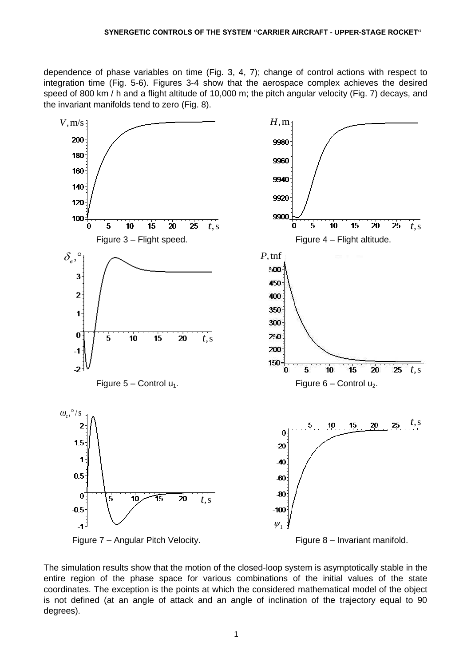dependence of phase variables on time (Fig. 3, 4, 7); change of control actions with respect to integration time (Fig. 5-6). Figures 3-4 show that the aerospace complex achieves the desired speed of 800 km / h and a flight altitude of 10,000 m; the pitch angular velocity (Fig. 7) decays, and the invariant manifolds tend to zero (Fig. 8).



The simulation results show that the motion of the closed-loop system is asymptotically stable in the entire region of the phase space for various combinations of the initial values of the state coordinates. The exception is the points at which the considered mathematical model of the object is not defined (at an angle of attack and an angle of inclination of the trajectory equal to 90 degrees).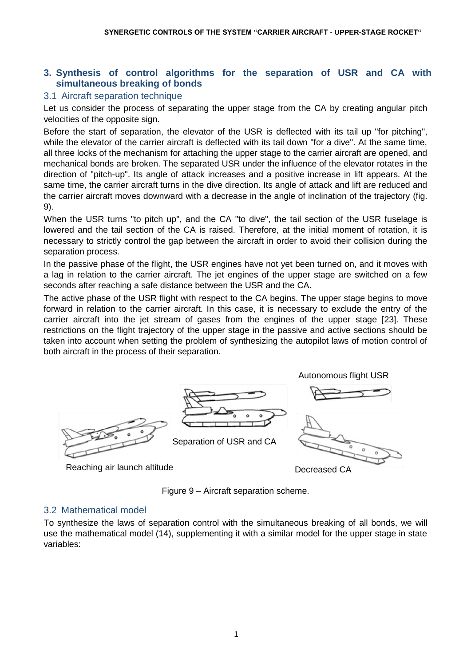## **3. Synthesis of control algorithms for the separation of USR and CA with simultaneous breaking of bonds**

## 3.1 Aircraft separation technique

Let us consider the process of separating the upper stage from the CA by creating angular pitch velocities of the opposite sign.

Before the start of separation, the elevator of the USR is deflected with its tail up "for pitching", while the elevator of the carrier aircraft is deflected with its tail down "for a dive". At the same time, all three locks of the mechanism for attaching the upper stage to the carrier aircraft are opened, and mechanical bonds are broken. The separated USR under the influence of the elevator rotates in the direction of "pitch-up". Its angle of attack increases and a positive increase in lift appears. At the same time, the carrier aircraft turns in the dive direction. Its angle of attack and lift are reduced and the carrier aircraft moves downward with a decrease in the angle of inclination of the trajectory (fig. 9).

When the USR turns "to pitch up", and the CA "to dive", the tail section of the USR fuselage is lowered and the tail section of the CA is raised. Therefore, at the initial moment of rotation, it is necessary to strictly control the gap between the aircraft in order to avoid their collision during the separation process.

In the passive phase of the flight, the USR engines have not yet been turned on, and it moves with a lag in relation to the carrier aircraft. The jet engines of the upper stage are switched on a few seconds after reaching a safe distance between the USR and the CA.

The active phase of the USR flight with respect to the CA begins. The upper stage begins to move forward in relation to the carrier aircraft. In this case, it is necessary to exclude the entry of the carrier aircraft into the jet stream of gases from the engines of the upper stage [23]. These restrictions on the flight trajectory of the upper stage in the passive and active sections should be taken into account when setting the problem of synthesizing the autopilot laws of motion control of both aircraft in the process of their separation.



Reaching air launch altitude

Decreased CA

Figure 9 – Aircraft separation scheme.

### 3.2 Mathematical model

To synthesize the laws of separation control with the simultaneous breaking of all bonds, we will use the mathematical model (14), supplementing it with a similar model for the upper stage in state variables: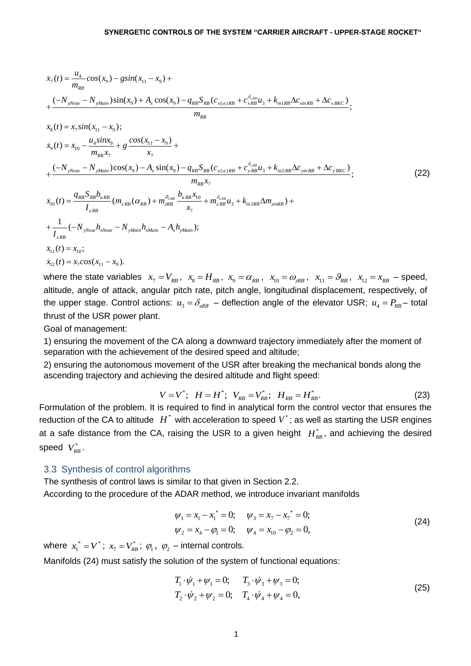$$
\dot{x}_{7}(t) = \frac{u_{4}}{m_{RB}}cos(x_{9}) - g sin(x_{11} - x_{9}) + \n+ \frac{(-N_{yNose} - N_{yMain})sin(x_{9}) + A_{x} cos(x_{9}) - q_{RB} S_{RB}(c_{x(a)RB} + c_{xRB}^{\delta_{eRB}} u_{3} + k_{inIRb} \Delta c_{xinRB} + \Delta c_{xBKC})}{m_{RB}}; \n\dot{x}_{8}(t) = x_{7} sin(x_{11} - x_{9}); \n\dot{x}_{9}(t) = x_{10} - \frac{u_{4} sinx_{9}}{m_{RB} x_{7}} + g \frac{cos(x_{11} - x_{9})}{x_{7}} + \n+ \frac{(-N_{yNose} - N_{yMain})cos(x_{9}) - A_{x} sin(x_{9}) - q_{RB} S_{RB}(c_{y(a)RB} + c_{yRB}^{\delta_{eRB}} u_{3} + k_{in2RB} \Delta c_{yinRB} + \Delta c_{yBKC})}{m_{RB} x_{7}}; \n\dot{x}_{10}(t) = \frac{q_{RB} S_{RB} b_{aRB}}{I_{zRB}} (m_{zRB} (\alpha_{RB}) + m_{zRB}^{\overline{\sigma}_{zRB}} \frac{b_{aRB} x_{10}}{x_{7}} + m_{zRB}^{\delta_{eRB}} u_{3} + k_{in2RB} \Delta m_{zinRB}) + \n+ \frac{1}{I_{zRB}} (-N_{yNose} h_{xNose} - N_{yMain} h_{xMain} - A_{x} h_{yMain}); \n\dot{x}_{11}(t) = x_{10}; \n\dot{x}_{12}(t) = x_{7} cos(x_{11} - x_{9}).
$$
\n(22)

where the state variables  $x_7 = V_{RB}$ ,  $x_8 = H_{RB}$ ,  $x_9 = \alpha_{RB}$ ,  $x_{10} = \omega_{zRB}$ ,  $x_{11} = \theta_{RB}$ ,  $x_{12} = x_{RB}$  - speed, altitude, angle of attack, angular pitch rate, pitch angle, longitudinal displacement, respectively, of the upper stage. Control actions:  $u_3 = \delta_{eRB}$  – deflection angle of the elevator USR;  $u_4 = P_{RB}$  - total thrust of the USR power plant.

Goal of management:

1) ensuring the movement of the CA along a downward trajectory immediately after the moment of separation with the achievement of the desired speed and altitude;

2) ensuring the autonomous movement of the USR after breaking the mechanical bonds along the ascending trajectory and achieving the desired altitude and flight speed:<br> $V = V^*; \;\; H = H^*; \;\; V_{\scriptscriptstyle RB} = V^*_{\scriptscriptstyle RB}; \;\; H_{\scriptscriptstyle RB} = H^*_{\scriptscriptstyle RB}.$ 

$$
V = V^*; \quad H = H^*; \quad V_{RB} = V_{RB}^*; \quad H_{RB} = H_{RB}^*.
$$
 (23)

Formulation of the problem. It is required to find in analytical form the control vector that ensures the reduction of the CA to altitude  $H^*$  with acceleration to speed  $V^*$ ; as well as starting the USR engines at a safe distance from the CA, raising the USR to a given height  $H_{RB}^*$ , and achieving the desired speed  $V_{RB}^*$ .

### 3.3 Synthesis of control algorithms

The synthesis of control laws is similar to that given in Section 2.2. According to the procedure of the ADAR method, we introduce invariant manifolds

$$
\psi_1 = x_1 - x_1^* = 0; \quad \psi_3 = x_7 - x_7^* = 0; \n\psi_2 = x_4 - \varphi_1 = 0; \quad \psi_4 = x_{10} - \varphi_2 = 0,
$$
\n(24)

where  $x_1^* = V^*$  $x_1^* = V^*$ ;  $x_7 = V^*_{RB}$ ;  $\varphi_1$ ,  $\varphi_2$  – internal controls.

Manifolds (24) must satisfy the solution of the system of functional equations:

$$
T_1 \cdot \dot{\psi}_1 + \psi_1 = 0; \qquad T_3 \cdot \dot{\psi}_3 + \psi_3 = 0; T_2 \cdot \dot{\psi}_2 + \psi_2 = 0; \qquad T_4 \cdot \dot{\psi}_4 + \psi_4 = 0,
$$
\n(25)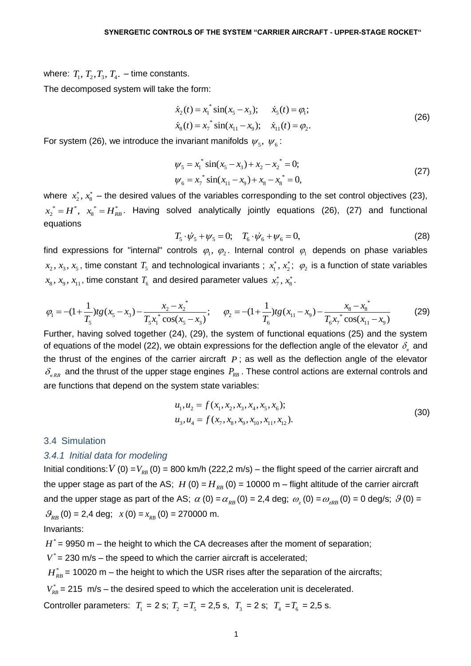where:  $T_1, T_2, T_3, T_4$ . – time constants.

The decomposed system will take the form:

$$
\dot{x}_2(t) = x_1^* \sin(x_5 - x_3); \qquad \dot{x}_5(t) = \varphi_1; \n\dot{x}_8(t) = x_7^* \sin(x_{11} - x_9); \qquad \dot{x}_{11}(t) = \varphi_2.
$$
\n(26)

For system (26), we introduce the invariant manifolds  $\psi_{5},\ \psi_{6}$ :

$$
\psi_5 = x_1^* \sin(x_5 - x_3) + x_2 - x_2^* = 0; \n\psi_6 = x_7^* \sin(x_{11} - x_9) + x_8 - x_8^* = 0,
$$
\n(27)

where  $x_2^*$ ,  $x_3^*$  – the desired values of the variables corresponding to the set control objectives (23),  $x_2^* = H^*$ ,  $x_8^* = H_{RB}^*$ . Having solved analytically jointly equations (26), (27) and functional equations

$$
T_5 \cdot \dot{\psi}_5 + \psi_5 = 0; \quad T_6 \cdot \dot{\psi}_6 + \psi_6 = 0,
$$
 (28)

find expressions for "internal" controls  $\varphi_1, \varphi_2$ . Internal control  $\varphi_1$  depends on phase variables  $x_8, x_9, x_{11}$ , time constant  $T_6$  and desired parameter values  $x_7^*, x_8^*$ .

$$
x_2
$$
,  $x_3$ ,  $x_5$ , time constant  $T_5$  and technological invariants ;  $x_1^*$ ,  $x_2^*$ ;  $\varphi_2$  is a function of state variables  
\n $x_8$ ,  $x_9$ ,  $x_{11}$ , time constant  $T_6$  and desired parameter values  $x_7^*$ ,  $x_8^*$ .  
\n
$$
\varphi_1 = -(1 + \frac{1}{T_5})tg(x_5 - x_3) - \frac{x_2 - x_2^*}{T_5x_1^*} \cos(x_5 - x_3); \qquad \varphi_2 = -(1 + \frac{1}{T_6})tg(x_{11} - x_9) - \frac{x_8 - x_8^*}{T_6x_7^*} \cos(x_{11} - x_9)
$$
\n(29)

Further, having solved together (24), (29), the system of functional equations (25) and the system of equations of the model (22), we obtain expressions for the deflection angle of the elevator  $\delta_{_\ell}$  and the thrust of the engines of the carrier aircraft  $P$ ; as well as the deflection angle of the elevator  $\delta_{_{\mathit{RRB}}}$  and the thrust of the upper stage engines  $\mathit{P}_{_{\mathit{RB}}}$ . These control actions are external controls and are functions that depend on the system state variables:

$$
u_1, u_2 = f(x_1, x_2, x_3, x_4, x_5, x_6);
$$
  
\n
$$
u_3, u_4 = f(x_7, x_8, x_9, x_{10}, x_{11}, x_{12}).
$$
\n(30)

#### 3.4 Simulation

#### *3.4.1 Initial data for modeling*

Initial conditions:  $V$  (0) =  $V_{RB}$  (0) = 800 km/h (222,2 m/s) – the flight speed of the carrier aircraft and the upper stage as part of the AS;  $H$  (0) =  $H_{RB}$  (0) = 10000 m – flight altitude of the carrier aircraft and the upper stage as part of the AS;  $\alpha$  (0) =  $\alpha_{_{RB}}$  (0) = 2,4 deg;  $\omega_{_z}$  (0) =  $\omega_{_{zRB}}$  (0) = 0 deg/s;  $\beta$  (0) =  $\mathcal{G}_{RB}(0) = 2.4$  deg;  $x(0) = x_{RB}(0) = 270000$  m.

Invariants:

 $H^*$  = 9950 m – the height to which the CA decreases after the moment of separation;

 $V^*$  = 230 m/s – the speed to which the carrier aircraft is accelerated;

 $H_{_{RB}}^{\ast}$ = 10020 m – the height to which the USR rises after the separation of the aircrafts;

 $V_{RB}^*$  = 215 m/s – the desired speed to which the acceleration unit is decelerated.

Controller parameters:  $T_1 = 2 \text{ s}; T_2 = T_5 = 2.5 \text{ s}; T_3 = 2 \text{ s}; T_4 = T_6 = 2.5 \text{ s}.$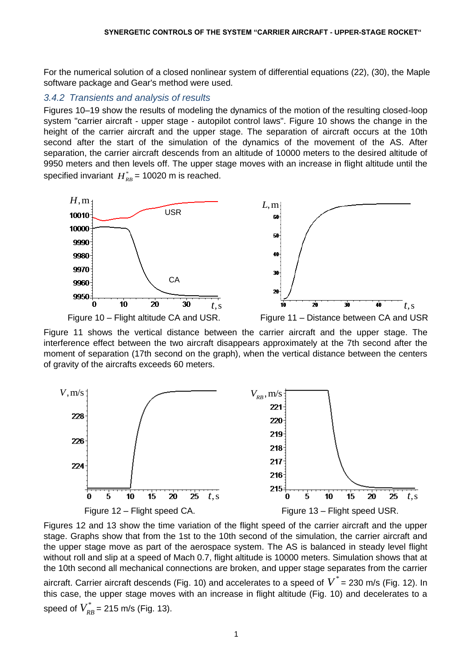For the numerical solution of a closed nonlinear system of differential equations (22), (30), the Maple software package and Gear's method were used.

### *3.4.2 Transients and analysis of results*

Figures 10–19 show the results of modeling the dynamics of the motion of the resulting closed-loop system "carrier aircraft - upper stage - autopilot control laws". Figure 10 shows the change in the height of the carrier aircraft and the upper stage. The separation of aircraft occurs at the 10th second after the start of the simulation of the dynamics of the movement of the AS. After separation, the carrier aircraft descends from an altitude of 10000 meters to the desired altitude of 9950 meters and then levels off. The upper stage moves with an increase in flight altitude until the specified invariant  $H_{\scriptscriptstyle RB}^*$  = 10020 m is reached.



Figure 11 shows the vertical distance between the carrier aircraft and the upper stage. The interference effect between the two aircraft disappears approximately at the 7th second after the moment of separation (17th second on the graph), when the vertical distance between the centers of gravity of the aircrafts exceeds 60 meters.



Figures 12 and 13 show the time variation of the flight speed of the carrier aircraft and the upper stage. Graphs show that from the 1st to the 10th second of the simulation, the carrier aircraft and the upper stage move as part of the aerospace system. The AS is balanced in steady level flight without roll and slip at a speed of Mach 0.7, flight altitude is 10000 meters. Simulation shows that at the 10th second all mechanical connections are broken, and upper stage separates from the carrier

aircraft. Carrier aircraft descends (Fig. 10) and accelerates to a speed of  $\overline{V}^*$  = 230 m/s (Fig. 12). In this case, the upper stage moves with an increase in flight altitude (Fig. 10) and decelerates to a speed of  $V^*_{RB}$  = 215 m/s (Fig. 13).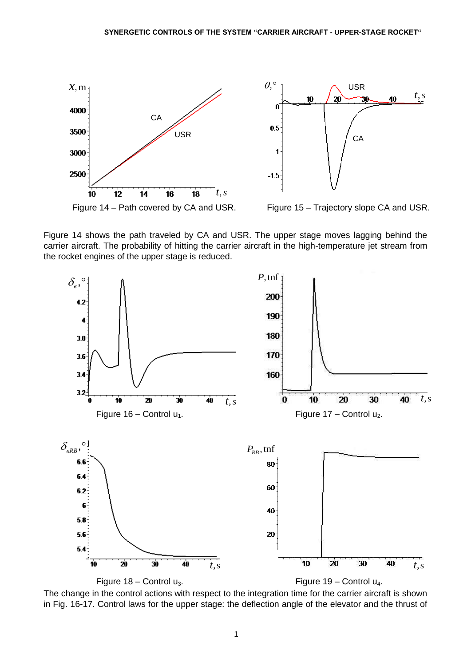

Figure 14 shows the path traveled by CA and USR. The upper stage moves lagging behind the carrier aircraft. The probability of hitting the carrier aircraft in the high-temperature jet stream from the rocket engines of the upper stage is reduced.



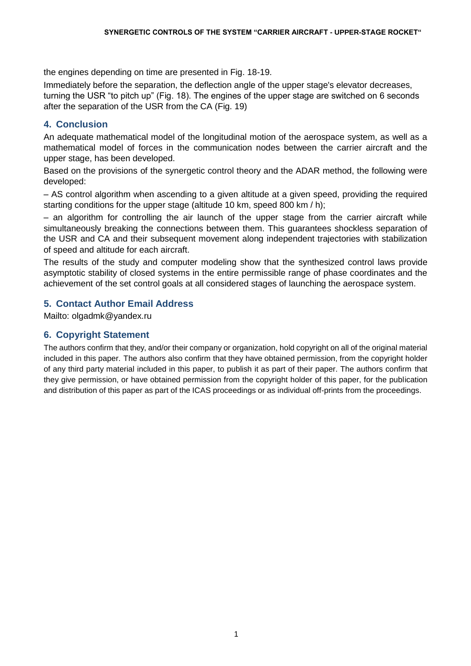the engines depending on time are presented in Fig. 18-19.

Immediately before the separation, the deflection angle of the upper stage's elevator decreases, turning the USR "to pitch up" (Fig. 18). The engines of the upper stage are switched on 6 seconds after the separation of the USR from the CA (Fig. 19)

# **4. Conclusion**

An adequate mathematical model of the longitudinal motion of the aerospace system, as well as a mathematical model of forces in the communication nodes between the carrier aircraft and the upper stage, has been developed.

Based on the provisions of the synergetic control theory and the ADAR method, the following were developed:

– AS control algorithm when ascending to a given altitude at a given speed, providing the required starting conditions for the upper stage (altitude 10 km, speed 800 km / h);

– an algorithm for controlling the air launch of the upper stage from the carrier aircraft while simultaneously breaking the connections between them. This guarantees shockless separation of the USR and CA and their subsequent movement along independent trajectories with stabilization of speed and altitude for each aircraft.

The results of the study and computer modeling show that the synthesized control laws provide asymptotic stability of closed systems in the entire permissible range of phase coordinates and the achievement of the set control goals at all considered stages of launching the aerospace system.

## **5. Contact Author Email Address**

Mailto: olgadmk@yandex.ru

## **6. Copyright Statement**

The authors confirm that they, and/or their company or organization, hold copyright on all of the original material included in this paper. The authors also confirm that they have obtained permission, from the copyright holder of any third party material included in this paper, to publish it as part of their paper. The authors confirm that they give permission, or have obtained permission from the copyright holder of this paper, for the publication and distribution of this paper as part of the ICAS proceedings or as individual off-prints from the proceedings.